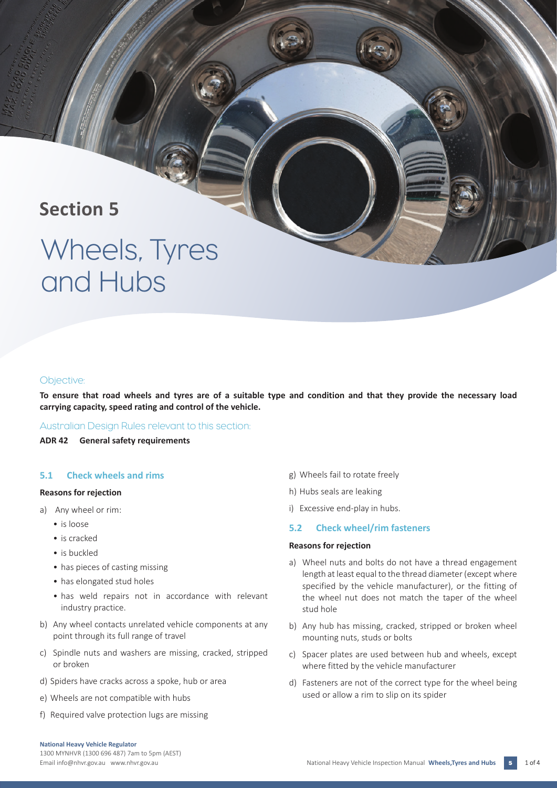# **Section 5**

# Wheels, Tyres and Hubs

### Objective:

**To ensure that road wheels and tyres are of a suitable type and condition and that they provide the necessary load carrying capacity, speed rating and control of the vehicle.**

### Australian Design Rules relevant to this section:

**ADR 42 General safety requirements** 

### **5.1 Check wheels and rims**

#### **Reasons for rejection**

- a) Any wheel or rim:
	- is loose
	- is cracked
	- is buckled
	- has pieces of casting missing
	- has elongated stud holes
	- has weld repairs not in accordance with relevant industry practice.
- b) Any wheel contacts unrelated vehicle components at any point through its full range of travel
- c) Spindle nuts and washers are missing, cracked, stripped or broken
- d) Spiders have cracks across a spoke, hub or area
- e) Wheels are not compatible with hubs
- f) Required valve protection lugs are missing
- g) Wheels fail to rotate freely
- h) Hubs seals are leaking
- i) Excessive end-play in hubs.

### **5.2 Check wheel/rim fasteners**

### **Reasons for rejection**

- a) Wheel nuts and bolts do not have a thread engagement length at least equal to the thread diameter (except where specified by the vehicle manufacturer), or the fitting of the wheel nut does not match the taper of the wheel stud hole
- b) Any hub has missing, cracked, stripped or broken wheel mounting nuts, studs or bolts
- c) Spacer plates are used between hub and wheels, except where fitted by the vehicle manufacturer
- d) Fasteners are not of the correct type for the wheel being used or allow a rim to slip on its spider

1300 MYNHVR (1300 696 487) 7am to 5pm (AEST)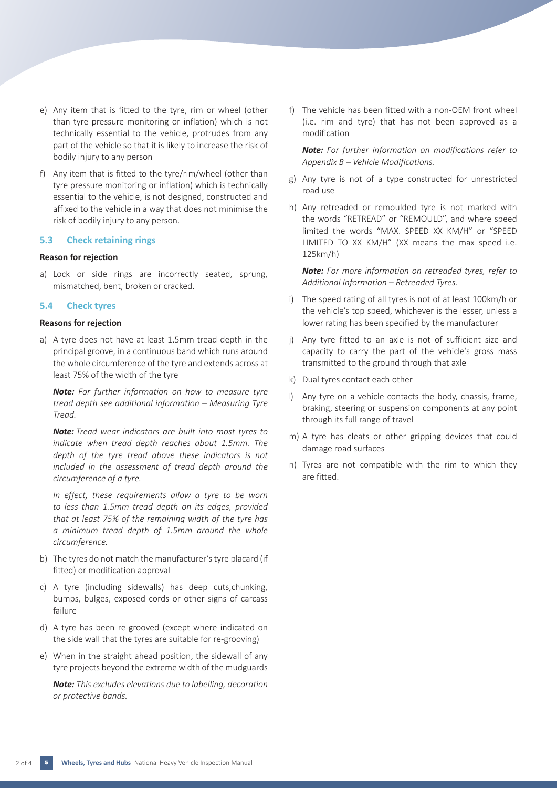- e) Any item that is fitted to the tyre, rim or wheel (other than tyre pressure monitoring or inflation) which is not technically essential to the vehicle, protrudes from any part of the vehicle so that it is likely to increase the risk of bodily injury to any person
- f) Any item that is fitted to the tyre/rim/wheel (other than tyre pressure monitoring or inflation) which is technically essential to the vehicle, is not designed, constructed and affixed to the vehicle in a way that does not minimise the risk of bodily injury to any person.

### **5.3 Check retaining rings**

### **Reason for rejection**

a) Lock or side rings are incorrectly seated, sprung, mismatched, bent, broken or cracked.

### **5.4 Check tyres**

### **Reasons for rejection**

a) A tyre does not have at least 1.5mm tread depth in the principal groove, in a continuous band which runs around the whole circumference of the tyre and extends across at least 75% of the width of the tyre

*Note: For further information on how to measure tyre tread depth see additional information – Measuring Tyre Tread.* 

*Note: Tread wear indicators are built into most tyres to indicate when tread depth reaches about 1.5mm. The depth of the tyre tread above these indicators is not included in the assessment of tread depth around the circumference of a tyre.*

*In effect, these requirements allow a tyre to be worn to less than 1.5mm tread depth on its edges, provided that at least 75% of the remaining width of the tyre has a minimum tread depth of 1.5mm around the whole circumference.*

- b) The tyres do not match the manufacturer's tyre placard (if fitted) or modification approval
- c) A tyre (including sidewalls) has deep cuts,chunking, bumps, bulges, exposed cords or other signs of carcass failure
- d) A tyre has been re-grooved (except where indicated on the side wall that the tyres are suitable for re-grooving)
- e) When in the straight ahead position, the sidewall of any tyre projects beyond the extreme width of the mudguards

*Note: This excludes elevations due to labelling, decoration or protective bands.*

f) The vehicle has been fitted with a non-OEM front wheel (i.e. rim and tyre) that has not been approved as a modification

*Note: For further information on modifications refer to Appendix B – Vehicle Modifications.*

- g) Any tyre is not of a type constructed for unrestricted road use
- h) Any retreaded or remoulded tyre is not marked with the words "RETREAD" or "REMOULD", and where speed limited the words "MAX. SPEED XX KM/H" or "SPEED LIMITED TO XX KM/H" (XX means the max speed i.e. 125km/h)

*Note: For more information on retreaded tyres, refer to Additional Information – Retreaded Tyres.*

- i) The speed rating of all tyres is not of at least 100km/h or the vehicle's top speed, whichever is the lesser, unless a lower rating has been specified by the manufacturer
- j) Any tyre fitted to an axle is not of sufficient size and capacity to carry the part of the vehicle's gross mass transmitted to the ground through that axle
- k) Dual tyres contact each other
- l) Any tyre on a vehicle contacts the body, chassis, frame, braking, steering or suspension components at any point through its full range of travel
- m) A tyre has cleats or other gripping devices that could damage road surfaces
- n) Tyres are not compatible with the rim to which they are fitted.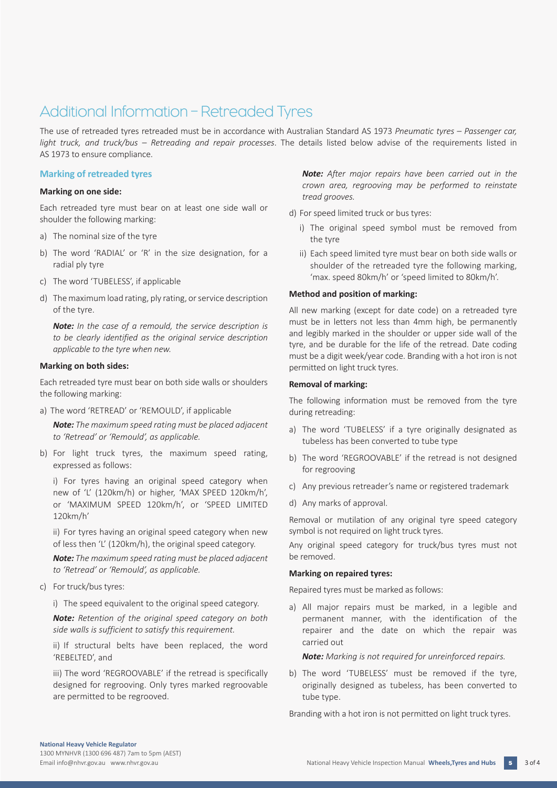# Additional Information – Retreaded Tyres

The use of retreaded tyres retreaded must be in accordance with Australian Standard AS 1973 *Pneumatic tyres – Passenger car, light truck, and truck/bus – Retreading and repair processes*. The details listed below advise of the requirements listed in AS 1973 to ensure compliance.

### **Marking of retreaded tyres**

### **Marking on one side:**

Each retreaded tyre must bear on at least one side wall or shoulder the following marking:

- a) The nominal size of the tyre
- b) The word 'RADIAL' or 'R' in the size designation, for a radial ply tyre
- c) The word 'TUBELESS', if applicable
- d) The maximum load rating, ply rating, or service description of the tyre.

*Note: In the case of a remould, the service description is to be clearly identified as the original service description applicable to the tyre when new.*

### **Marking on both sides:**

Each retreaded tyre must bear on both side walls or shoulders the following marking:

a) The word 'RETREAD' or 'REMOULD', if applicable

*Note: The maximum speed rating must be placed adjacent to 'Retread' or 'Remould', as applicable.*

b) For light truck tyres, the maximum speed rating, expressed as follows:

i) For tyres having an original speed category when new of 'L' (120km/h) or higher, 'MAX SPEED 120km/h', or 'MAXIMUM SPEED 120km/h', or 'SPEED LIMITED 120km/h'

ii) For tyres having an original speed category when new of less then 'L' (120km/h), the original speed category.

*Note: The maximum speed rating must be placed adjacent to 'Retread' or 'Remould', as applicable.*

c) For truck/bus tyres:

i) The speed equivalent to the original speed category.

*Note: Retention of the original speed category on both side walls is sufficient to satisfy this requirement.*

ii) If structural belts have been replaced, the word 'REBELTED', and

iii) The word 'REGROOVABLE' if the retread is specifically designed for regrooving. Only tyres marked regroovable are permitted to be regrooved.

*Note: After major repairs have been carried out in the crown area, regrooving may be performed to reinstate tread grooves.*

- d) For speed limited truck or bus tyres:
	- i) The original speed symbol must be removed from the tyre
	- ii) Each speed limited tyre must bear on both side walls or shoulder of the retreaded tyre the following marking, 'max. speed 80km/h' or 'speed limited to 80km/h'.

### **Method and position of marking:**

All new marking (except for date code) on a retreaded tyre must be in letters not less than 4mm high, be permanently and legibly marked in the shoulder or upper side wall of the tyre, and be durable for the life of the retread. Date coding must be a digit week/year code. Branding with a hot iron is not permitted on light truck tyres.

### **Removal of marking:**

The following information must be removed from the tyre during retreading:

- a) The word 'TUBELESS' if a tyre originally designated as tubeless has been converted to tube type
- b) The word 'REGROOVABLE' if the retread is not designed for regrooving
- c) Any previous retreader's name or registered trademark
- d) Any marks of approval.

Removal or mutilation of any original tyre speed category symbol is not required on light truck tyres.

Any original speed category for truck/bus tyres must not be removed.

### **Marking on repaired tyres:**

Repaired tyres must be marked as follows:

a) All major repairs must be marked, in a legible and permanent manner, with the identification of the repairer and the date on which the repair was carried out

*Note: Marking is not required for unreinforced repairs.*

b) The word 'TUBELESS' must be removed if the tyre, originally designed as tubeless, has been converted to tube type.

Branding with a hot iron is not permitted on light truck tyres.